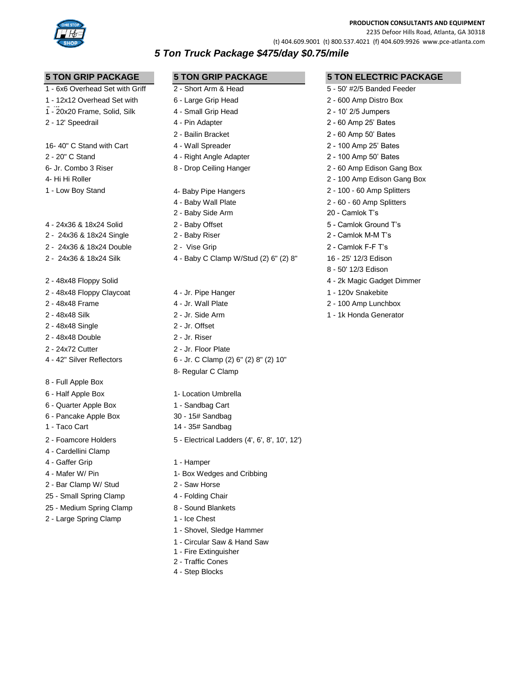

**PRODUCTION CONSULTANTS AND EQUIPMENT**

2235 Defoor Hills Road, Atlanta, GA 30318

(t) 404.609.9001 (t) 800.537.4021 (f) 404.609.9926 www.pce-atlanta.com

# *5 Ton Truck Package \$475/day \$0.75/mile*

- 1 6x6 Overhead Set with Griff 2 Short Arm & Head 5 50' #2/5 Banded Feeder
- 1 12x12 Overhead Set with
- 1 20x20 Frame, Solid, Silk 4 Small Grip Head 2 10' 2/5 Jumpers
- 

16- 40" C Stand with Cart 4 - Wall Spreader 2 - 100 Amp 25' Bates

- 
- 
- 
- 
- 4 24x36 & 18x24 Solid 2 Baby Offset 5 Camlok Ground T's
- 2 24x36 & 18x24 Single 2 Baby Riser 2 Camlok M-M T's
- 2 24x36 & 18x24 Double 2 Vise Grip 2 Camlok F-F T's
- 
- 
- 
- 
- 
- 
- 
- 
- 
- 8 Full Apple Box
- 
- 6 Quarter Apple Box 1 Sandbag Cart
- 6 Pancake Apple Box 30 15# Sandbag
- 
- 
- 4 Cardellini Clamp
- 
- 
- 2 Bar Clamp W/ Stud 2 Saw Horse
- 25 Small Spring Clamp 4 Folding Chair
- 25 Medium Spring Clamp 8 Sound Blankets
- 2 Large Spring Clamp 1 Ice Chest
- 
- 
- 
- 
- 
- 
- 
- 
- 
- 
- 
- 
- 
- 
- 
- 2 24x36 & 18x24 Silk 4 Baby C Clamp W/Stud (2) 6" (2) 8" 16 25' 12/3 Edison

2 - 48x48 Floppy Claycoat 4 - Jr. Pipe Hanger 1 - 120v Snakebite 2 - 48x48 Frame 4 - Jr. Wall Plate 2 - 100 Amp Lunchbox 2 - 48x48 Silk 2 - Jr. Side Arm 2 - 1 - 1k Honda Generator 2 - 48x48 Single 2 - Jr. Offset 2 - 48x48 Double 2 - Jr. Riser 2 - 24x72 Cutter 2 - Jr. Floor Plate 4 - 42" Silver Reflectors 6 - Jr. C Clamp (2) 6" (2) 8" (2) 10" 8- Regular C Clamp

- 6 Half Apple Box 1- Location Umbrella
	-
	-
- 1 Taco Cart 14 35# Sandbag
- 2 Foamcore Holders 5 Electrical Ladders (4', 6', 8', 10', 12')
- 4 Gaffer Grip 1 Hamper
- 4 Mafer W/ Pin 1- Box Wedges and Cribbing
	-
	-
	-
	-
	- 1 Shovel, Sledge Hammer
	- 1 Circular Saw & Hand Saw
	- 1 Fire Extinguisher
	- 2 Traffic Cones
	- 4 Step Blocks

**5 TON GRIP PACKAGE 5 TON GRIP PACKAGE 5 TON ELECTRIC PACKAGE**

- 2 20" C Stand 4 Right Angle Adapter 2 100 Amp 50' Bates 6- Jr. Combo 3 Riser 8 - Drop Ceiling Hanger 2 - 60 Amp Edison Gang Box 4- Hi Hi Roller 2 - 100 Amp Edison Gang Box 1 - Low Boy Stand 4- Baby Pipe Hangers 2 - 100 - 60 Amp Splitters 8 - 50' 12/3 Edison 2 - 48x48 Floppy Solid 4 - 2k Magic Gadget Dimmer
	-
	-
- 6 Large Grip Head 2 600 Amp Distro Box 2 - 12' Speedrail 4 - Pin Adapter 2 - 60 Amp 25' Bates 2 - Bailin Bracket 2 - 60 Amp 50' Bates
	-
	-
	-
	-
	-
	- 4 Baby Wall Plate 2 60 60 Amp Splitters
	- 2 Baby Side Arm 20 Camlok T's
		-
		-
		-
		-
		-